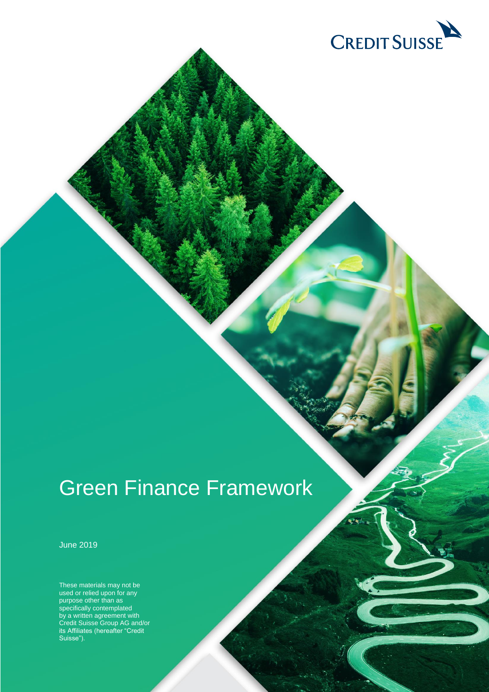

# Green Finance Framework

June 2019

These materials may not be used or relied upon for any purpose other than as specifically contemplated by a written agreement with Credit Suisse Group AG and/or its Affiliates (hereafter "Credit Suisse").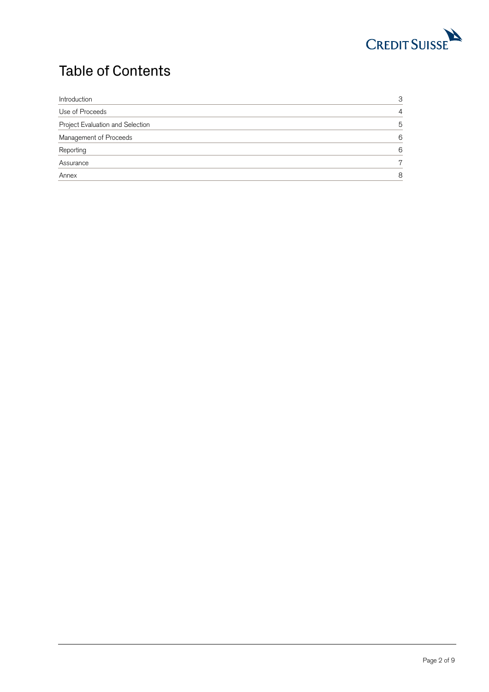

# Table of Contents

<span id="page-1-0"></span>

| Introduction                     | З |
|----------------------------------|---|
| Use of Proceeds                  | 4 |
| Project Evaluation and Selection | 5 |
| Management of Proceeds           | 6 |
| Reporting                        | 6 |
| Assurance                        | 7 |
| Annex                            | Я |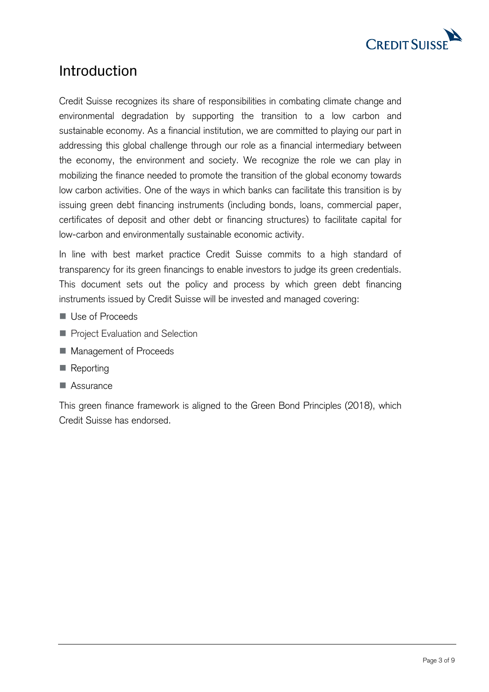

### Introduction

Credit Suisse recognizes its share of responsibilities in combating climate change and environmental degradation by supporting the transition to a low carbon and sustainable economy. As a financial institution, we are committed to playing our part in addressing this global challenge through our role as a financial intermediary between the economy, the environment and society. We recognize the role we can play in mobilizing the finance needed to promote the transition of the global economy towards low carbon activities. One of the ways in which banks can facilitate this transition is by issuing green debt financing instruments (including bonds, loans, commercial paper, certificates of deposit and other debt or financing structures) to facilitate capital for low-carbon and environmentally sustainable economic activity.

In line with best market practice Credit Suisse commits to a high standard of transparency for its green financings to enable investors to judge its green credentials. This document sets out the policy and process by which green debt financing instruments issued by Credit Suisse will be invested and managed covering:

- Use of Proceeds
- **Project Evaluation and Selection**
- Management of Proceeds
- Reporting
- Assurance

<span id="page-2-0"></span>This green finance framework is aligned to the Green Bond Principles (2018), which Credit Suisse has endorsed.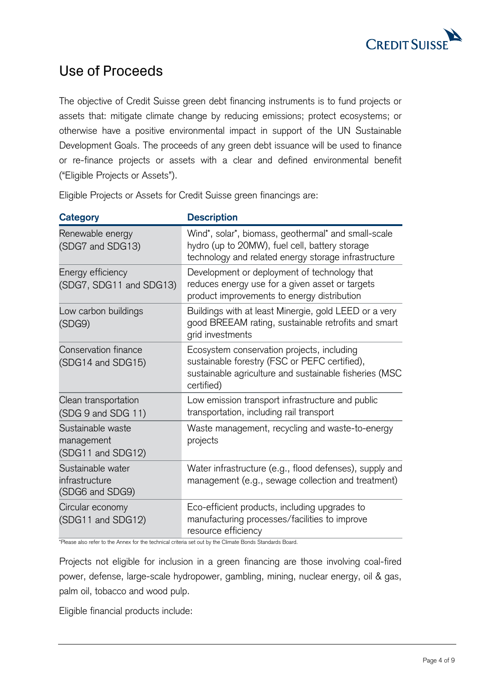

### Use of Proceeds

The objective of Credit Suisse green debt financing instruments is to fund projects or assets that: mitigate climate change by reducing emissions; protect ecosystems; or otherwise have a positive environmental impact in support of the UN Sustainable Development Goals. The proceeds of any green debt issuance will be used to finance or re-finance projects or assets with a clear and defined environmental benefit ("Eligible Projects or Assets").

Eligible Projects or Assets for Credit Suisse green financings are:

| <b>Category</b>                                        | <b>Description</b>                                                                                                                                                  |
|--------------------------------------------------------|---------------------------------------------------------------------------------------------------------------------------------------------------------------------|
| Renewable energy<br>(SDG7 and SDG13)                   | Wind*, solar*, biomass, geothermal* and small-scale<br>hydro (up to 20MW), fuel cell, battery storage<br>technology and related energy storage infrastructure       |
| Energy efficiency<br>(SDG7, SDG11 and SDG13)           | Development or deployment of technology that<br>reduces energy use for a given asset or targets<br>product improvements to energy distribution                      |
| Low carbon buildings<br>(SDG9)                         | Buildings with at least Minergie, gold LEED or a very<br>good BREEAM rating, sustainable retrofits and smart<br>grid investments                                    |
| Conservation finance<br>(SDG14 and SDG15)              | Ecosystem conservation projects, including<br>sustainable forestry (FSC or PEFC certified),<br>sustainable agriculture and sustainable fisheries (MSC<br>certified) |
| Clean transportation<br>(SDG 9 and SDG 11)             | Low emission transport infrastructure and public<br>transportation, including rail transport                                                                        |
| Sustainable waste<br>management<br>(SDG11 and SDG12)   | Waste management, recycling and waste-to-energy<br>projects                                                                                                         |
| Sustainable water<br>infrastructure<br>(SDG6 and SDG9) | Water infrastructure (e.g., flood defenses), supply and<br>management (e.g., sewage collection and treatment)                                                       |
| Circular economy<br>(SDG11 and SDG12)                  | Eco-efficient products, including upgrades to<br>manufacturing processes/facilities to improve<br>resource efficiency                                               |

\*Please also refer to the Annex for the technical criteria set out by the Climate Bonds Standards Board.

Projects not eligible for inclusion in a green financing are those involving coal-fired power, defense, large-scale hydropower, gambling, mining, nuclear energy, oil & gas, palm oil, tobacco and wood pulp.

Eligible financial products include: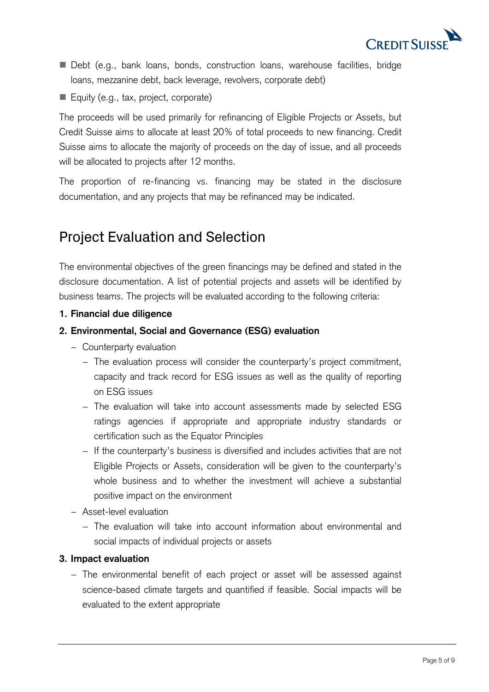

- Debt (e.g., bank loans, bonds, construction loans, warehouse facilities, bridge loans, mezzanine debt, back leverage, revolvers, corporate debt)
- Equity (e.g., tax, project, corporate)

The proceeds will be used primarily for refinancing of Eligible Projects or Assets, but Credit Suisse aims to allocate at least 20% of total proceeds to new financing. Credit Suisse aims to allocate the majority of proceeds on the day of issue, and all proceeds will be allocated to projects after 12 months.

The proportion of re-financing vs. financing may be stated in the disclosure documentation, and any projects that may be refinanced may be indicated.

# <span id="page-4-0"></span>Project Evaluation and Selection

The environmental objectives of the green financings may be defined and stated in the disclosure documentation. A list of potential projects and assets will be identified by business teams. The projects will be evaluated according to the following criteria:

**1. Financial due diligence**

#### **2. Environmental, Social and Governance (ESG) evaluation**

- − Counterparty evaluation
	- − The evaluation process will consider the counterparty's project commitment, capacity and track record for ESG issues as well as the quality of reporting on ESG issues
	- − The evaluation will take into account assessments made by selected ESG ratings agencies if appropriate and appropriate industry standards or certification such as the Equator Principles
	- − If the counterparty's business is diversified and includes activities that are not Eligible Projects or Assets, consideration will be given to the counterparty's whole business and to whether the investment will achieve a substantial positive impact on the environment
- − Asset-level evaluation
	- − The evaluation will take into account information about environmental and social impacts of individual projects or assets

#### **3. Impact evaluation**

− The environmental benefit of each project or asset will be assessed against science-based climate targets and quantified if feasible. Social impacts will be evaluated to the extent appropriate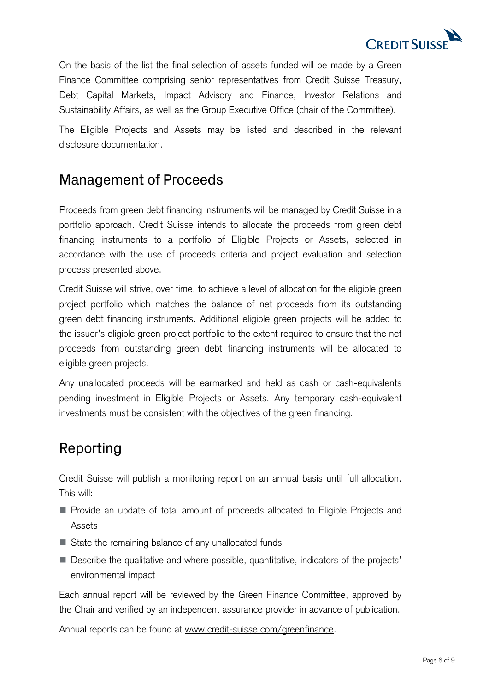

On the basis of the list the final selection of assets funded will be made by a Green Finance Committee comprising senior representatives from Credit Suisse Treasury, Debt Capital Markets, Impact Advisory and Finance, Investor Relations and Sustainability Affairs, as well as the Group Executive Office (chair of the Committee).

<span id="page-5-0"></span>The Eligible Projects and Assets may be listed and described in the relevant disclosure documentation.

### Management of Proceeds

Proceeds from green debt financing instruments will be managed by Credit Suisse in a portfolio approach. Credit Suisse intends to allocate the proceeds from green debt financing instruments to a portfolio of Eligible Projects or Assets, selected in accordance with the use of proceeds criteria and project evaluation and selection process presented above.

Credit Suisse will strive, over time, to achieve a level of allocation for the eligible green project portfolio which matches the balance of net proceeds from its outstanding green debt financing instruments. Additional eligible green projects will be added to the issuer's eligible green project portfolio to the extent required to ensure that the net proceeds from outstanding green debt financing instruments will be allocated to eligible green projects.

Any unallocated proceeds will be earmarked and held as cash or cash-equivalents pending investment in Eligible Projects or Assets. Any temporary cash-equivalent investments must be consistent with the objectives of the green financing.

# <span id="page-5-1"></span>Reporting

Credit Suisse will publish a monitoring report on an annual basis until full allocation. This will:

- **Provide an update of total amount of proceeds allocated to Eligible Projects and** Assets
- State the remaining balance of any unallocated funds
- Describe the qualitative and where possible, quantitative, indicators of the projects' environmental impact

Each annual report will be reviewed by the Green Finance Committee, approved by the Chair and verified by an independent assurance provider in advance of publication.

Annual reports can be found at [www.credit-suisse.com/greenfinance.](http://www.credit-suisse.com/greenbonds)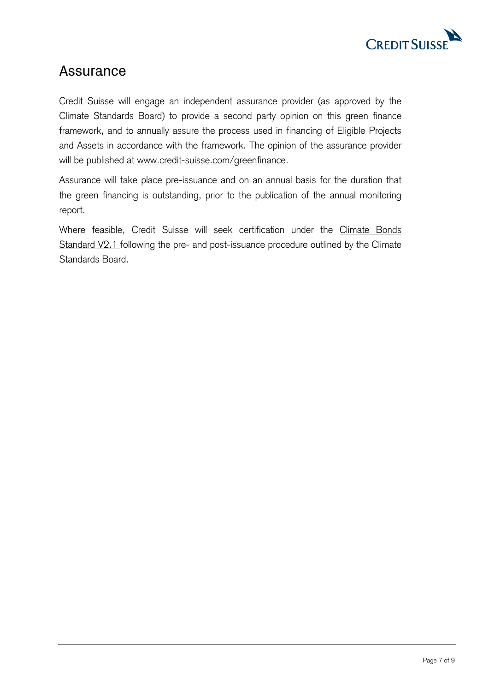

### <span id="page-6-0"></span>Assurance

Credit Suisse will engage an independent assurance provider (as approved by the Climate Standards Board) to provide a second party opinion on this green finance framework, and to annually assure the process used in financing of Eligible Projects and Assets in accordance with the framework. The opinion of the assurance provider will be published at [www.credit-suisse.com/greenfinance.](http://www.credit-suisse.com/greenbonds)

Assurance will take place pre-issuance and on an annual basis for the duration that the green financing is outstanding, prior to the publication of the annual monitoring report.

Where feasible, Credit Suisse will seek certification under the [Climate Bonds](https://www.climatebonds.net/files/files/Climate%20Bonds%20Standard%20v2_1%20-%20January_2017.pdf)  [Standard V2.1](https://www.climatebonds.net/files/files/Climate%20Bonds%20Standard%20v2_1%20-%20January_2017.pdf) following the pre- and post-issuance procedure outlined by the Climate Standards Board.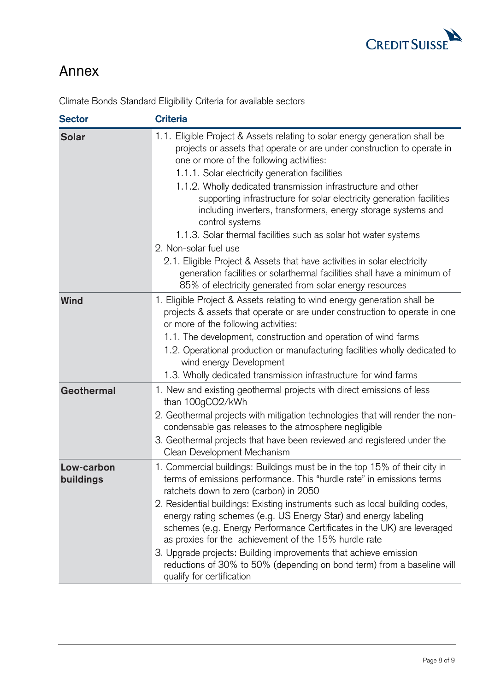

# <span id="page-7-0"></span>Annex

| <b>Sector</b>           | <b>Criteria</b>                                                                                                                                                                                                                                                                                                                                                                                                                                                                                                                                                                                                                                                                                                                                                                                    |
|-------------------------|----------------------------------------------------------------------------------------------------------------------------------------------------------------------------------------------------------------------------------------------------------------------------------------------------------------------------------------------------------------------------------------------------------------------------------------------------------------------------------------------------------------------------------------------------------------------------------------------------------------------------------------------------------------------------------------------------------------------------------------------------------------------------------------------------|
| <b>Solar</b>            | 1.1. Eligible Project & Assets relating to solar energy generation shall be<br>projects or assets that operate or are under construction to operate in<br>one or more of the following activities:<br>1.1.1. Solar electricity generation facilities<br>1.1.2. Wholly dedicated transmission infrastructure and other<br>supporting infrastructure for solar electricity generation facilities<br>including inverters, transformers, energy storage systems and<br>control systems<br>1.1.3. Solar thermal facilities such as solar hot water systems<br>2. Non-solar fuel use<br>2.1. Eligible Project & Assets that have activities in solar electricity<br>generation facilities or solarthermal facilities shall have a minimum of<br>85% of electricity generated from solar energy resources |
| Wind                    | 1. Eligible Project & Assets relating to wind energy generation shall be<br>projects & assets that operate or are under construction to operate in one<br>or more of the following activities:<br>1.1. The development, construction and operation of wind farms<br>1.2. Operational production or manufacturing facilities wholly dedicated to<br>wind energy Development<br>1.3. Wholly dedicated transmission infrastructure for wind farms                                                                                                                                                                                                                                                                                                                                                     |
| Geothermal              | 1. New and existing geothermal projects with direct emissions of less<br>than 100gCO2/kWh<br>2. Geothermal projects with mitigation technologies that will render the non-<br>condensable gas releases to the atmosphere negligible<br>3. Geothermal projects that have been reviewed and registered under the<br>Clean Development Mechanism                                                                                                                                                                                                                                                                                                                                                                                                                                                      |
| Low-carbon<br>buildings | 1. Commercial buildings: Buildings must be in the top 15% of their city in<br>terms of emissions performance. This "hurdle rate" in emissions terms<br>ratchets down to zero (carbon) in 2050<br>2. Residential buildings: Existing instruments such as local building codes,<br>energy rating schemes (e.g. US Energy Star) and energy labeling<br>schemes (e.g. Energy Performance Certificates in the UK) are leveraged<br>as proxies for the achievement of the 15% hurdle rate<br>3. Upgrade projects: Building improvements that achieve emission<br>reductions of 30% to 50% (depending on bond term) from a baseline will<br>qualify for certification                                                                                                                                     |

Climate Bonds Standard Eligibility Criteria for available sectors